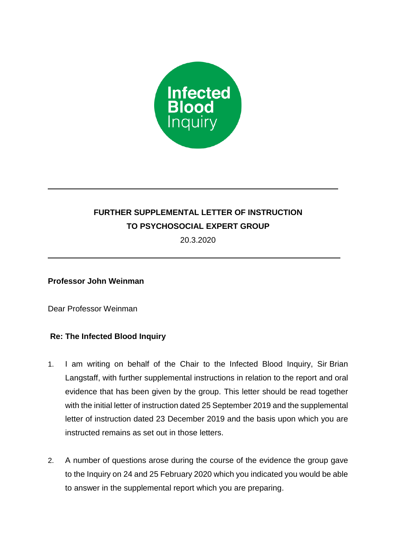

## **FURTHER SUPPLEMENTAL LETTER OF INSTRUCTION TO PSYCHOSOCIAL EXPERT GROUP**

20.3.2020

## **Professor John Weinman**

Dear Professor Weinman

## **Re: The Infected Blood Inquiry**

- 1. I am writing on behalf of the Chair to the Infected Blood Inquiry, Sir Brian Langstaff, with further supplemental instructions in relation to the report and oral evidence that has been given by the group. This letter should be read together with the initial letter of instruction dated 25 September 2019 and the supplemental letter of instruction dated 23 December 2019 and the basis upon which you are instructed remains as set out in those letters.
- 2. A number of questions arose during the course of the evidence the group gave to the Inquiry on 24 and 25 February 2020 which you indicated you would be able to answer in the supplemental report which you are preparing.